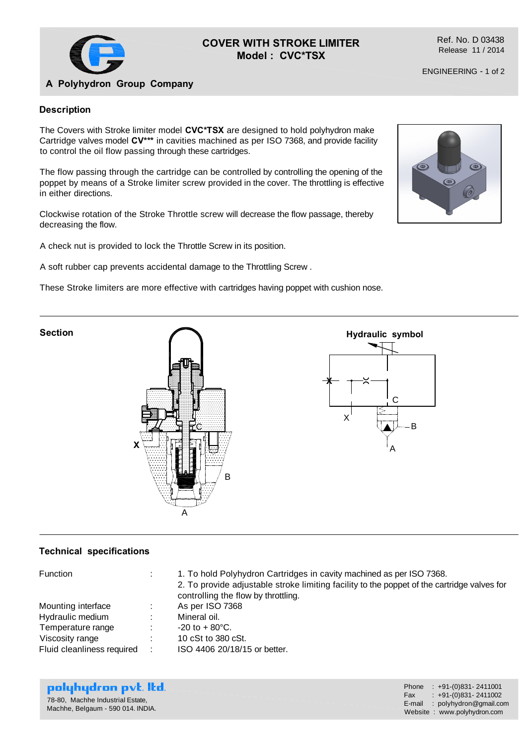

# **COVER WITH STROKE LIMITER Model : CVC\*TSX**

Ref. No. D 03438 Release 11 / 2014

# **A Polyhydron Group Company**

### **Description**

The Covers with Stroke limiter model **CVC\*TSX** are designed to hold polyhydron make Cartridge valves model **CV\*\*\*** in cavities machined as per ISO 7368, and provide facility to control the oil flow passing through these cartridges.

The flow passing through the cartridge can be controlled by controlling the opening of the poppet by means of a Stroke limiter screw provided in the cover. The throttling is effective in either directions.

Clockwise rotation of the Stroke Throttle screw will decrease the flow passage, thereby decreasing the flow.

A check nut is provided to lock the Throttle Screw in its position.

A soft rubber cap prevents accidental damage to the Throttling Screw .

These Stroke limiters are more effective with cartridges having poppet with cushion nose.





### **Technical specifications**

| <b>Function</b>            |   | 1. To hold Polyhydron Cartridges in cavity machined as per ISO 7368.<br>2. To provide adjustable stroke limiting facility to the poppet of the cartridge valves for<br>controlling the flow by throttling. |
|----------------------------|---|------------------------------------------------------------------------------------------------------------------------------------------------------------------------------------------------------------|
| Mounting interface         |   | As per ISO 7368                                                                                                                                                                                            |
| Hydraulic medium           |   | Mineral oil.                                                                                                                                                                                               |
| Temperature range          |   | $-20$ to $+80^{\circ}$ C.                                                                                                                                                                                  |
| Viscosity range            |   | 10 cSt to 380 cSt.                                                                                                                                                                                         |
| Fluid cleanliness required | ÷ | ISO 4406 20/18/15 or better.                                                                                                                                                                               |

| polyhydron pvt. Itd.              |  |
|-----------------------------------|--|
| 78-80, Machhe Industrial Estate,  |  |
| Machhe, Belgaum - 590 014. INDIA. |  |

| Phone  | $: +91-(0)831 - 2411001$    |
|--------|-----------------------------|
| Fax    | $: +91-(0)831 - 2411002$    |
| E-mail | : polyhydron@gmail.com      |
|        | Website: www.polyhydron.com |